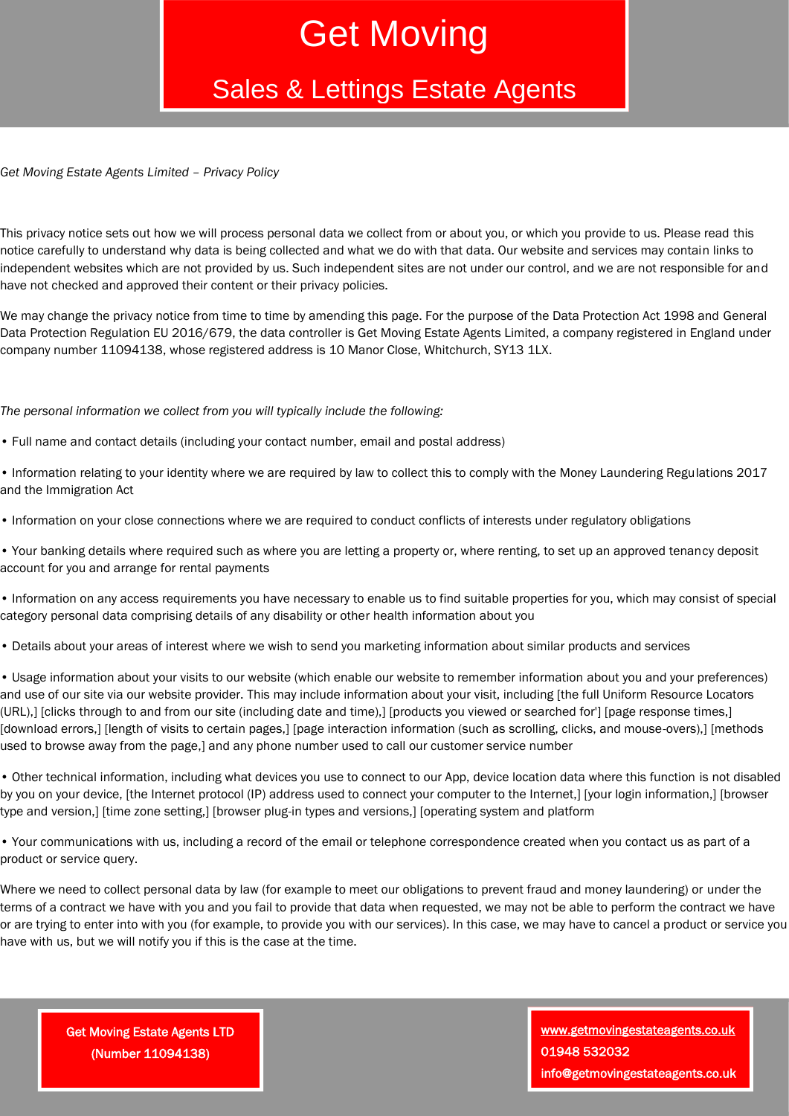## Get Moving

### Sales & Lettings Estate Agents

*Get Moving Estate Agents Limited – Privacy Policy*

This privacy notice sets out how we will process personal data we collect from or about you, or which you provide to us. Please read this notice carefully to understand why data is being collected and what we do with that data. Our website and services may contain links to independent websites which are not provided by us. Such independent sites are not under our control, and we are not responsible for and have not checked and approved their content or their privacy policies.

We may change the privacy notice from time to time by amending this page. For the purpose of the Data Protection Act 1998 and General Data Protection Regulation EU 2016/679, the data controller is Get Moving Estate Agents Limited, a company registered in England under company number 11094138, whose registered address is 10 Manor Close, Whitchurch, SY13 1LX.

*The personal information we collect from you will typically include the following:*

- Full name and contact details (including your contact number, email and postal address)
- Information relating to your identity where we are required by law to collect this to comply with the Money Laundering Regulations 2017 and the Immigration Act
- Information on your close connections where we are required to conduct conflicts of interests under regulatory obligations
- Your banking details where required such as where you are letting a property or, where renting, to set up an approved tenancy deposit account for you and arrange for rental payments
- Information on any access requirements you have necessary to enable us to find suitable properties for you, which may consist of special category personal data comprising details of any disability or other health information about you
- Details about your areas of interest where we wish to send you marketing information about similar products and services

• Usage information about your visits to our website (which enable our website to remember information about you and your preferences) and use of our site via our website provider. This may include information about your visit, including [the full Uniform Resource Locators (URL),] [clicks through to and from our site (including date and time),] [products you viewed or searched for'] [page response times,] [download errors,] [length of visits to certain pages,] [page interaction information (such as scrolling, clicks, and mouse-overs),] [methods used to browse away from the page,] and any phone number used to call our customer service number

• Other technical information, including what devices you use to connect to our App, device location data where this function is not disabled by you on your device, [the Internet protocol (IP) address used to connect your computer to the Internet,] [your login information,] [browser type and version,] [time zone setting,] [browser plug-in types and versions,] [operating system and platform

• Your communications with us, including a record of the email or telephone correspondence created when you contact us as part of a product or service query.

Where we need to collect personal data by law (for example to meet our obligations to prevent fraud and money laundering) or under the terms of a contract we have with you and you fail to provide that data when requested, we may not be able to perform the contract we have or are trying to enter into with you (for example, to provide you with our services). In this case, we may have to cancel a product or service you have with us, but we will notify you if this is the case at the time.

Get Moving Estate Agents LTD (Number 11094138)

[www.getmovingestateagents.co.uk](http://www.getmovingestateagents.co.uk/)  01948 532032 info@getmovingestateagents.co.uk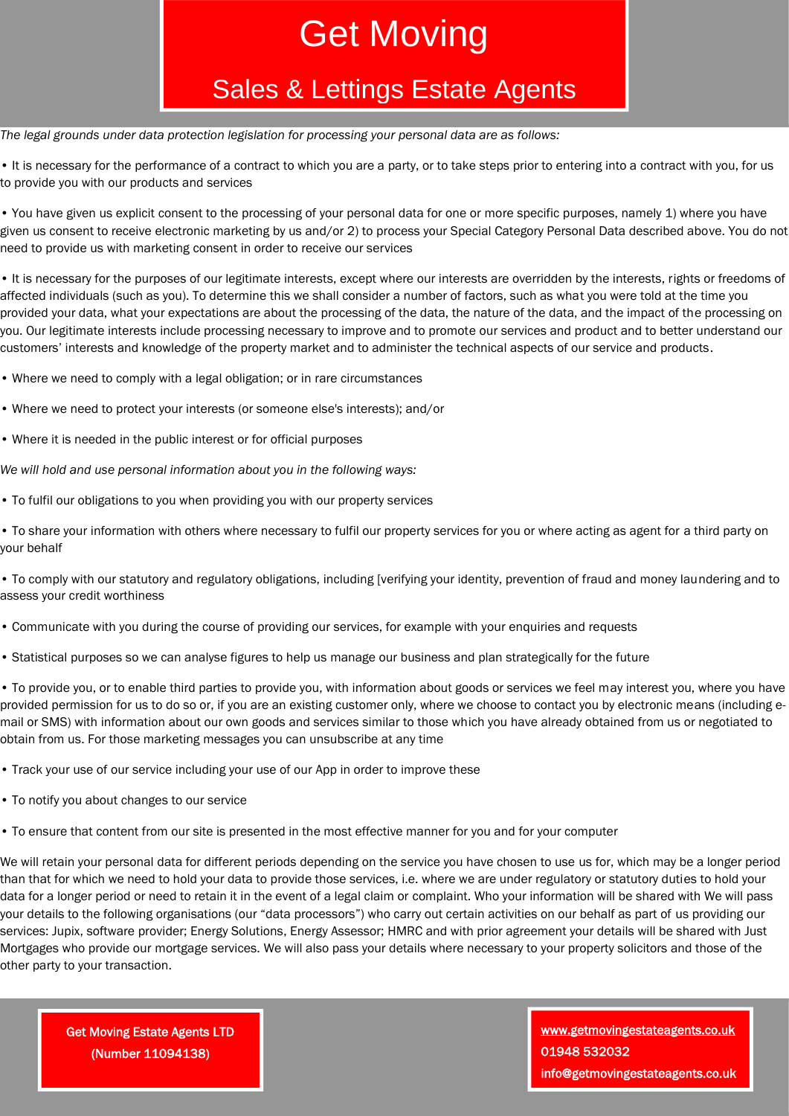# Get Moving

#### Sales & Lettings Estate Agents

*The legal grounds under data protection legislation for processing your personal data are as follows:* 

• It is necessary for the performance of a contract to which you are a party, or to take steps prior to entering into a contract with you, for us to provide you with our products and services

• You have given us explicit consent to the processing of your personal data for one or more specific purposes, namely 1) where you have given us consent to receive electronic marketing by us and/or 2) to process your Special Category Personal Data described above. You do not need to provide us with marketing consent in order to receive our services

• It is necessary for the purposes of our legitimate interests, except where our interests are overridden by the interests, rights or freedoms of affected individuals (such as you). To determine this we shall consider a number of factors, such as what you were told at the time you provided your data, what your expectations are about the processing of the data, the nature of the data, and the impact of the processing on you. Our legitimate interests include processing necessary to improve and to promote our services and product and to better understand our customers' interests and knowledge of the property market and to administer the technical aspects of our service and products.

- Where we need to comply with a legal obligation; or in rare circumstances
- Where we need to protect your interests (or someone else's interests); and/or
- Where it is needed in the public interest or for official purposes

*We will hold and use personal information about you in the following ways:* 

• To fulfil our obligations to you when providing you with our property services

• To share your information with others where necessary to fulfil our property services for you or where acting as agent for a third party on your behalf

• To comply with our statutory and regulatory obligations, including [verifying your identity, prevention of fraud and money laundering and to assess your credit worthiness

- Communicate with you during the course of providing our services, for example with your enquiries and requests
- Statistical purposes so we can analyse figures to help us manage our business and plan strategically for the future

• To provide you, or to enable third parties to provide you, with information about goods or services we feel may interest you, where you have provided permission for us to do so or, if you are an existing customer only, where we choose to contact you by electronic means (including email or SMS) with information about our own goods and services similar to those which you have already obtained from us or negotiated to obtain from us. For those marketing messages you can unsubscribe at any time

- Track your use of our service including your use of our App in order to improve these
- To notify you about changes to our service
- To ensure that content from our site is presented in the most effective manner for you and for your computer

We will retain your personal data for different periods depending on the service you have chosen to use us for, which may be a longer period than that for which we need to hold your data to provide those services, i.e. where we are under regulatory or statutory duties to hold your data for a longer period or need to retain it in the event of a legal claim or complaint. Who your information will be shared with We will pass your details to the following organisations (our "data processors") who carry out certain activities on our behalf as part of us providing our services: Jupix, software provider; Energy Solutions, Energy Assessor; HMRC and with prior agreement your details will be shared with Just Mortgages who provide our mortgage services. We will also pass your details where necessary to your property solicitors and those of the other party to your transaction.

Get Moving Estate Agents LTD (Number 11094138)

[www.getmovingestateagents.co.uk](http://www.getmovingestateagents.co.uk/)  01948 532032 info@getmovingestateagents.co.uk